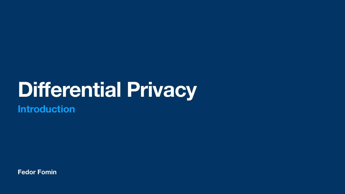**Fedor Fomin**



## **Differential Privacy Introduction**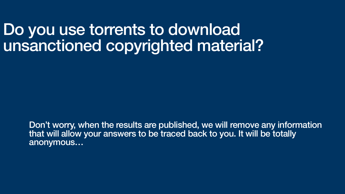### Do you use torrents to download unsanctioned copyrighted material?

Don't worry, when the results are published, we will remove any information that will allow your answers to be traced back to you. It will be totally anonymous…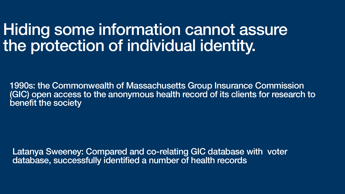### Hiding some information cannot assure the protection of individual identity.

1990s: the Commonwealth of Massachusetts Group Insurance Commission (GIC) open access to the anonymous health record of its clients for research to benefit the society

Latanya Sweeney: Compared and co-relating GIC database with voter database, successfully identified a number of health records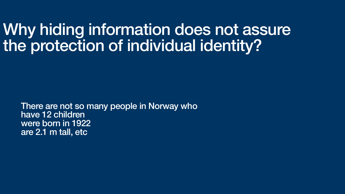### Why hiding information does not assure the protection of individual identity?

There are not so many people in Norway who have 12 children were born in 1922 are 2.1 m tall, etc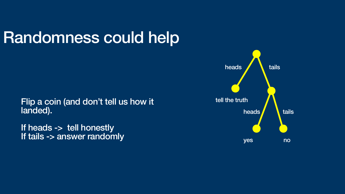Flip a coin (and don't tell us how it landed).

If heads -> tell honestly If tails -> answer randomly

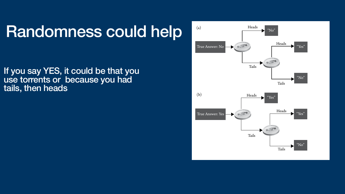If you say YES, it could be that you use torrents or because you had tails, then heads



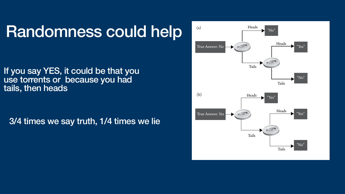If you say YES, it could be that you use torrents or because you had tails, then heads

3/4 times we say truth, 1/4 times we lie



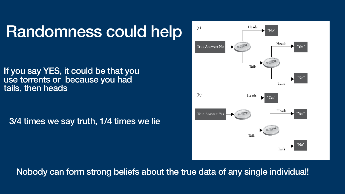If you say YES, it could be that you use torrents or because you had tails, then heads

3/4 times we say truth, 1/4 times we lie

### Nobody can form strong beliefs about the true data of any single individual! of three times. It answers no only one out of three times if your answer is yes.



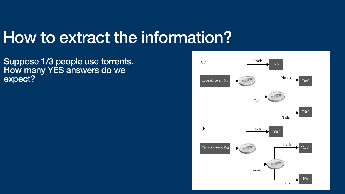### How to extract the information? 4 2 ■ THE ETHICAL ALGORITHM

Suppose 1/3 people use torrents. How many YES answers do we expect?



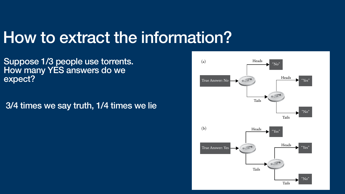### How to extract the information? 4 2 ■ THE ETHICAL ALGORITHM

Suppose 1/3 people use torrents. How many YES answers do we expect?





3/4 times we say truth, 1/4 times we lie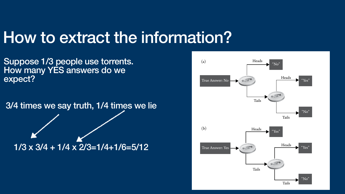### How to extract the information? 4 2 ■ THE ETHICAL ALGORITHM

Suppose 1/3 people use torrents. How many YES answers do we expect?





3/4 times we say truth, 1/4 times we lie

 $1/3 \times 3/4 + 1/4 \times 2/3 = 1/4 + 1/6 = 5/12$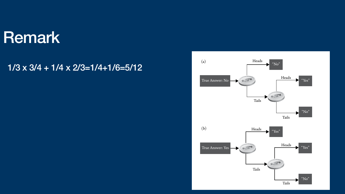### Remark

### $1/3 \times 3/4 + 1/4 \times 2/3 = 1/4 + 1/6 = 5/12$



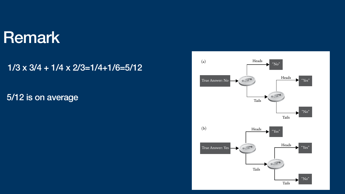### Remark

### $1/3 \times 3/4 + 1/4 \times 2/3 = 1/4 + 1/6 = 5/12$





### 5/12 is on average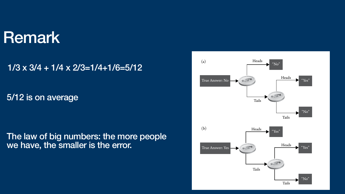### Remark

### $1/3 \times 3/4 + 1/4 \times 2/3 = 1/4 + 1/6 = 5/12$





### 5/12 is on average

### The law of big numbers: the more people we have, the smaller is the error.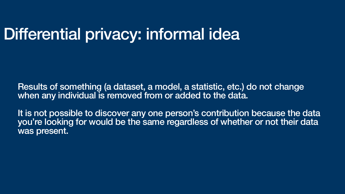It is not possible to discover any one person's contribution because the data you're looking for would be the same regardless of whether or not their data was present.

## Differential privacy: informal idea

Results of something (a dataset, a model, a statistic, etc.) do not change when any individual is removed from or added to the data.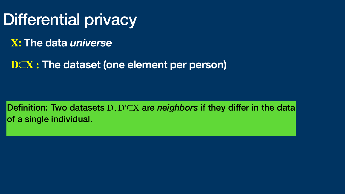Differential privacy **X: The data** *universe*  **D**⊂**X : The dataset (one element per person)**

Definition: Two datasets D, Dʹ⊂X are *neighbors* if they differ in the data of a single individual.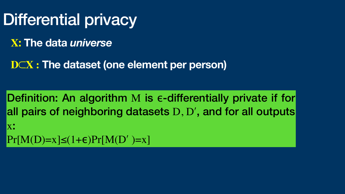Differential privacy **X: The data** *universe*  **D**⊂**X : The dataset (one element per person)**

Definition: An algorithm M is e-differentially private if for all pairs of neighboring datasets D, D', and for all outputs  $\mathbf{X}$  .  $Pr[M(D)=x] \leq (1+\epsilon) Pr[M(D')] = x$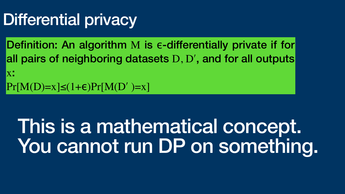## Differential privacy

Definition: An algorithm M is e-differentially private if for all pairs of neighboring datasets D, D', and for all outputs  $\mathbf{X}$  .  $Pr[M(D)=x] \le (1+\epsilon) Pr[M(D')] = x$ 

# This is a mathematical concept. You cannot run DP on something.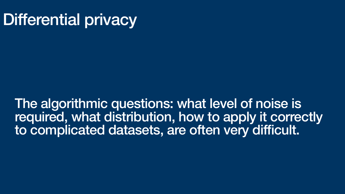## Differential privacy

The algorithmic questions: what level of noise is required, what distribution, how to apply it correctly to complicated datasets, are often very difficult.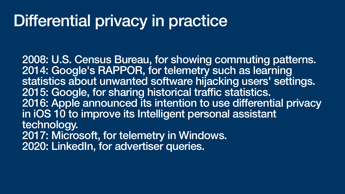## Differential privacy in practice

2008: [U.S. Census Bureau,](https://en.wikipedia.org/wiki/United_States_Census_Bureau) for showing commuting patterns. 2014: [Google](https://en.wikipedia.org/wiki/Google)'s RAPPOR, for telemetry such as learning statistics about unwanted software hijacking users' settings. 2015: Google, for sharing historical traffic statistics. 2016: [Apple](https://en.wikipedia.org/wiki/Apple_Inc.) announced its intention to use differential privacy in [iOS 10](https://en.wikipedia.org/wiki/IOS_10) to improve its [Intelligent personal assistant](https://en.wikipedia.org/wiki/Intelligent_personal_assistant)  technology. 2017: Microsoft, for telemetry in Windows. 2020: LinkedIn, for advertiser queries.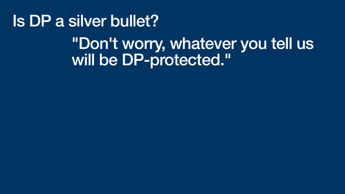## Is DP a silver bullet? "Don't worry, whatever you tell us will be DP-protected."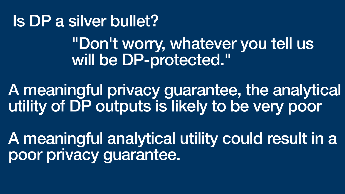## Is DP a silver bullet? "Don't worry, whatever you tell us will be DP-protected."

### A meaningful privacy guarantee, the analytical utility of DP outputs is likely to be very poor





A meaningful analytical utility could result in a poor privacy guarantee.